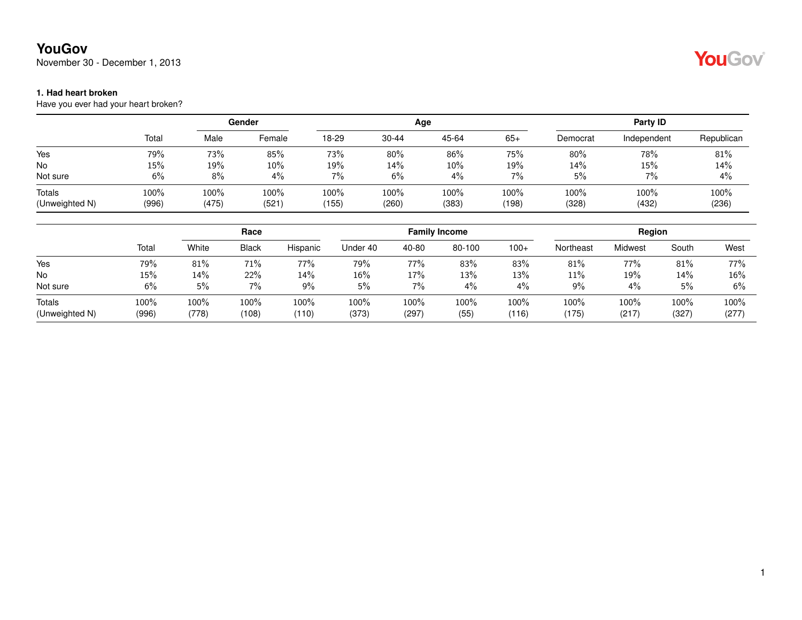### **YouGov**

November 30 - December 1, 2013

#### **1. Had heart broken**

Have you ever had your heart broken?

|                |       | Gender |        |       |         | Age   | Party ID |          |             |            |
|----------------|-------|--------|--------|-------|---------|-------|----------|----------|-------------|------------|
|                | Total | Male   | Female | 18-29 | 30-44   | 45-64 | 65+      | Democrat | Independent | Republican |
| Yes            | 79%   | 73%    | 85%    | 73%   | 80%     | 86%   | 75%      | 80%      | 78%         | 81%        |
| No             | 15%   | 19%    | 10%    | 19%   | 14%     | 10%   | 19%      | 14%      | 15%         | 14%        |
| Not sure       | 6%    | 8%     | $4\%$  | 7%    | 6%      | 4%    | 7%       | 5%       | 7%          | 4%         |
| Totals         | 100%  | 100%   | 100%   | 100%  | $100\%$ | 100%  | 100%     | 100%     | 100%        | 100%       |
| (Unweighted N) | (996) | (475)  | (521)  | (155) | (260)   | (383) | (198)    | (328)    | (432)       | (236)      |

|                |        | Race    |              |          |          |       | <b>Family Income</b> |        | Region    |         |       |       |
|----------------|--------|---------|--------------|----------|----------|-------|----------------------|--------|-----------|---------|-------|-------|
|                | Total  | White   | <b>Black</b> | Hispanic | Under 40 | 40-80 | 80-100               | $100+$ | Northeast | Midwest | South | West  |
| Yes            | 79%    | 81%     | 71%          | 77%      | 79%      | 77%   | 83%                  | 83%    | 81%       | 77%     | 81%   | 77%   |
| <b>No</b>      | $15\%$ | 14%     | 22%          | 14%      | 16%      | 17%   | 13%                  | 13%    | 11%       | 19%     | 14%   | 16%   |
| Not sure       | 6%     | 5%      | 7%           | $9\%$    | 5%       | 7%    | 4%                   | 4%     | 9%        | 4%      | 5%    | 6%    |
| Totals         | 100%   | $100\%$ | 100%         | 100%     | 100%     | 100%  | 100%                 | 100%   | 100%      | 100%    | 100%  | 100%  |
| (Unweighted N) | (996)  | (778)   | (108)        | (110)    | (373)    | (297) | (55)                 | (116)  | (175)     | (217)   | (327) | (277) |

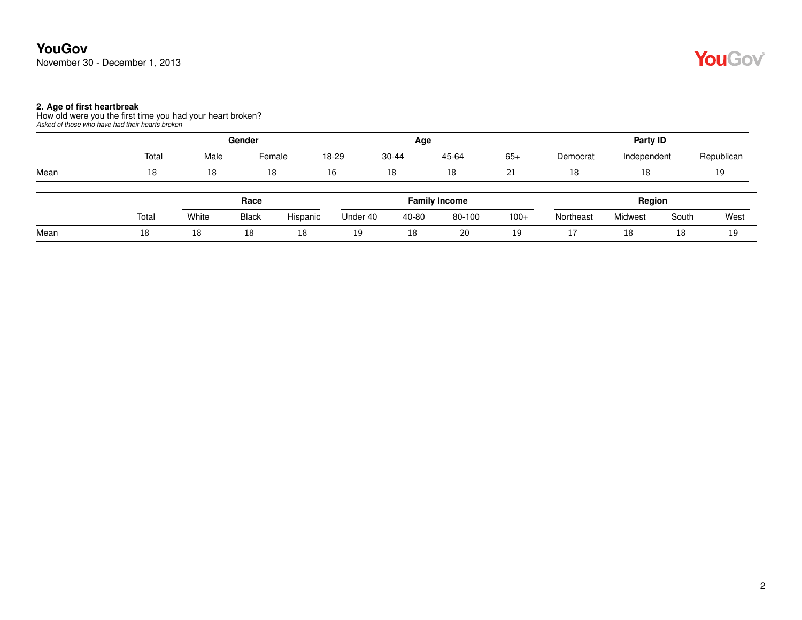#### **2. Age of first heartbreak**

How old were you the first time you had your heart broken? *Asked of those who have had their hearts broken*

|      |       | Gender |              |          |          | Age       |                      | Party ID |           |             |       |            |
|------|-------|--------|--------------|----------|----------|-----------|----------------------|----------|-----------|-------------|-------|------------|
|      | Total | Male   | Female       |          | 18-29    | $30 - 44$ | 45-64                | $65+$    | Democrat  | Independent |       | Republican |
| Mean | 18    | 18     | 18           |          | 16<br>18 |           | 18                   | 21       | 18        | 18          | 19    |            |
|      |       |        | Race         |          |          |           | <b>Family Income</b> |          |           | Region      |       |            |
|      | Total | White  | <b>Black</b> | Hispanic | Under 40 | 40-80     | 80-100               | $100+$   | Northeast | Midwest     | South | West       |
| Mean | 18    | 18     | 18           | 18       | 19       | 18        | 20                   | 19       | <b>LI</b> | 18          | 18    | 19         |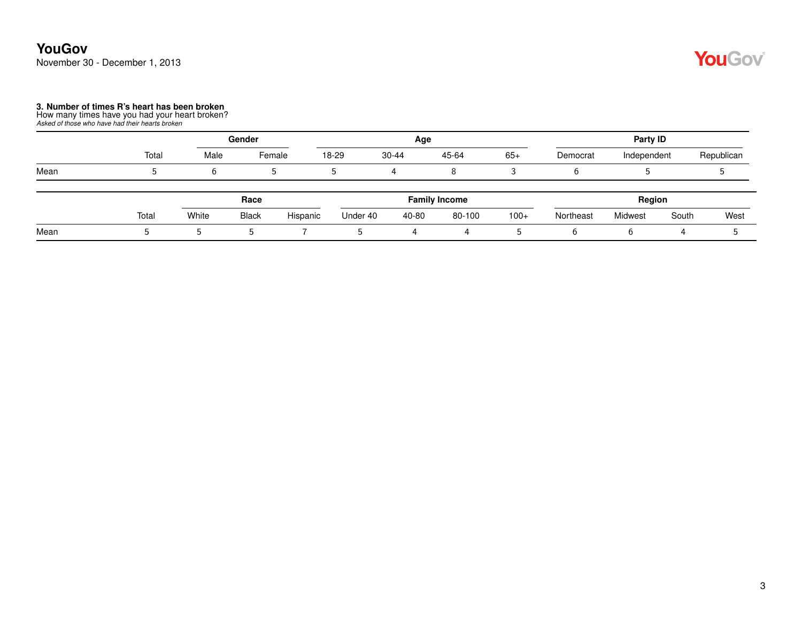#### **YouGov** November 30 - December 1, 2013

## YouGov®

# **3. Number of times R's heart has been broken** How many times have you had your heart broken? *Asked of those who have had their hearts broken*

|      |       |       | Gender       |          |                      | Age       |        | Party ID |           |             |        |            |
|------|-------|-------|--------------|----------|----------------------|-----------|--------|----------|-----------|-------------|--------|------------|
|      | Total | Male  | Female       |          | 18-29                | $30 - 44$ | 45-64  | $65+$    | Democrat  | Independent |        | Republican |
| Mean |       | b     | J.           |          | 5.                   |           | 8      |          |           |             |        |            |
|      |       |       | Race         |          | <b>Family Income</b> |           |        |          |           |             | Region |            |
|      | Total | White | <b>Black</b> | Hispanic | Under 40             | 40-80     | 80-100 | $100+$   | Northeast | Midwest     | South  | West       |
| Mean |       | 5     | b.           |          | b.                   | 4         | 4      | 5        | 6         | b           | 4      |            |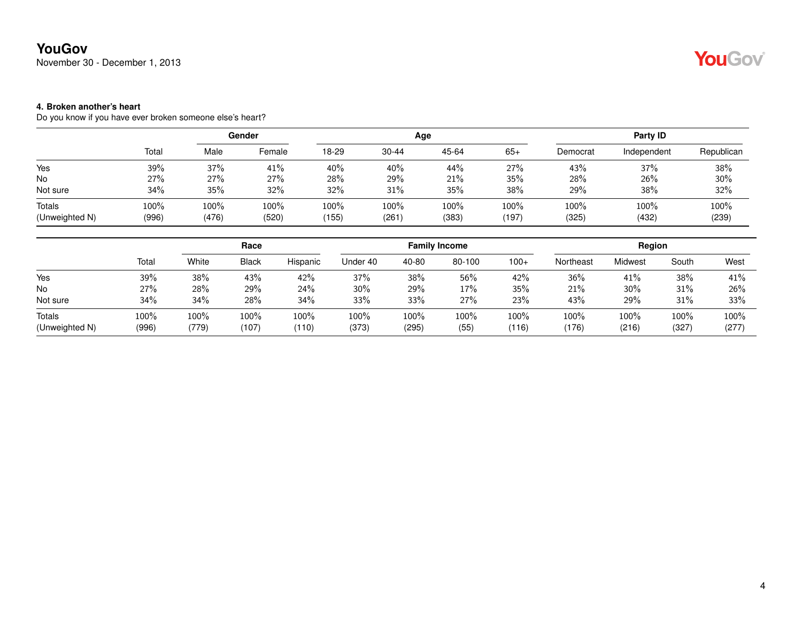### **YouGov**

November 30 - December 1, 2013

#### **4. Broken another's heart**

Do you know if you have ever broken someone else's heart?

|       |       |        |                 |           |       | Party ID     |          |             |               |
|-------|-------|--------|-----------------|-----------|-------|--------------|----------|-------------|---------------|
| Total | Male  | Female | 18-29           | $30 - 44$ | 45-64 | $65+$        | Democrat | Independent | Republican    |
| 39%   | 37%   | 41%    | 40%             | 40%       | 44%   | 27%          | 43%      | 37%         | 38%           |
| 27%   | 27%   | 27%    | 28%             | 29%       | 21%   | 35%          | 28%      | 26%         | 30%           |
| 34%   | 35%   | 32%    | 32%             | 31%       | 35%   | 38%          | 29%      | 38%         | 32%           |
| 100%  | 100%  | 100%   | 100%            | 100%      | 100%  | 100%         | 100%     | 100%        | 100%<br>(239) |
|       | (996) | (476)  | Gender<br>(520) | 155       | (261) | Age<br>(383) | (197)    | (325)       | (432)         |

|                          |               | Race          |               |               |               |               | <b>Family Income</b> |               | Region       |               |               |               |
|--------------------------|---------------|---------------|---------------|---------------|---------------|---------------|----------------------|---------------|--------------|---------------|---------------|---------------|
|                          | Total         | White         | <b>Black</b>  | Hispanic      | Under 40      | 40-80         | 80-100               | $100+$        | Northeast    | Midwest       | South         | West          |
| Yes                      | 39%           | 38%           | 43%           | 42%           | 37%           | 38%           | 56%                  | 42%           | 36%          | 41%           | 38%           | 41%           |
| <b>No</b>                | 27%           | 28%           | 29%           | 24%           | $30\%$        | 29%           | 17%                  | 35%           | 21%          | $30\%$        | 31%           | 26%           |
| Not sure                 | 34%           | 34%           | 28%           | 34%           | 33%           | 33%           | 27%                  | 23%           | 43%          | 29%           | 31%           | 33%           |
| Totals<br>(Unweighted N) | 100%<br>(996) | 100%<br>(779) | 100%<br>(107) | 100%<br>(110) | 100%<br>(373) | 100%<br>(295) | 100%<br>(55)         | 100%<br>(116) | 100%<br>176) | 100%<br>(216) | 100%<br>(327) | 100%<br>(277) |

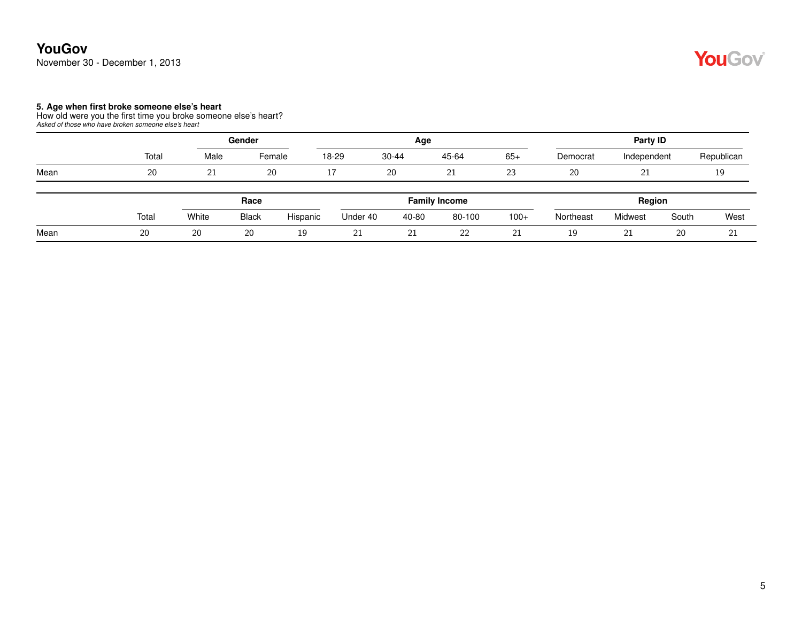#### **YouGov** November 30 - December 1, 2013

## YouGov®

#### **5. Age when first broke someone else's heart**

How old were you the first time you broke someone else's heart? *Asked of those who have broken someone else's heart*

|      |       | Gender |              |          |          | Age       |                      | Party ID |           |             |       |            |  |
|------|-------|--------|--------------|----------|----------|-----------|----------------------|----------|-----------|-------------|-------|------------|--|
|      | Total | Male   | Female       |          | 18-29    | $30 - 44$ | 45-64                | $65+$    | Democrat  | Independent |       | Republican |  |
| Mean | 20    | 21     | 20           |          | 17       | 20        | 21                   | 23       | 20        | 21          |       | 19         |  |
|      |       |        | Race         |          |          |           | <b>Family Income</b> |          |           | Region      |       |            |  |
|      | Total | White  | <b>Black</b> | Hispanic | Under 40 | 40-80     | 80-100               | $100+$   | Northeast | Midwest     | South | West       |  |
| Mean | 20    | 20     | 20           | 19       | 21       | 21        | 22                   | 21       | 19        | 21          | 20    | 21         |  |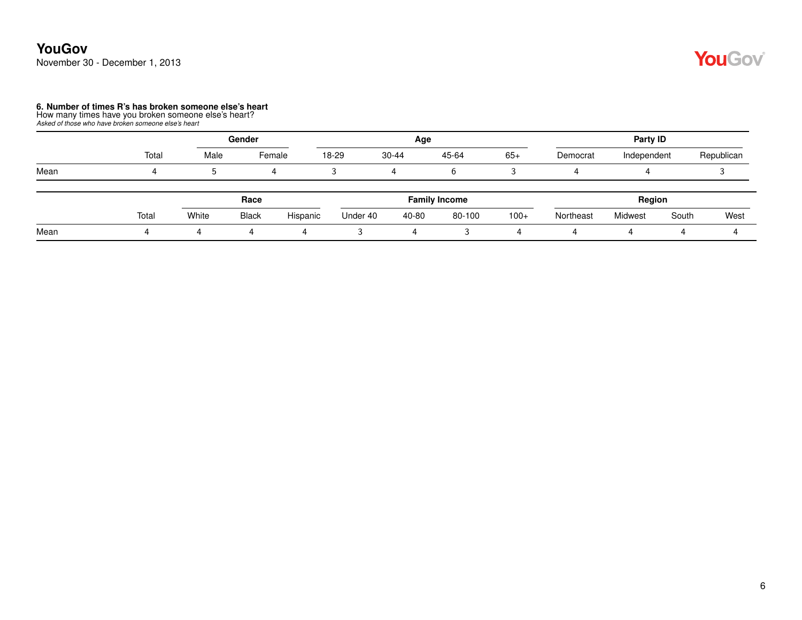### **YouGov** November 30 - December 1, 2013

# **6. Number of times R's has broken someone else's heart** How many times have you broken someone else's heart? *Asked of those who have broken someone else's heart*

|      |       |       | Gender       |          |          | Age   |                      | Party ID |           |             |       |            |  |
|------|-------|-------|--------------|----------|----------|-------|----------------------|----------|-----------|-------------|-------|------------|--|
|      | Total | Male  | Female       |          | 18-29    | 30-44 | 45-64                | $65+$    | Democrat  | Independent |       | Republican |  |
| Mean |       | 5     |              | 4        |          |       | b                    |          | 4         |             |       |            |  |
|      |       |       | Race         |          |          |       | <b>Family Income</b> |          |           | Region      |       |            |  |
|      | Total | White | <b>Black</b> | Hispanic | Under 40 | 40-80 | 80-100               | $100+$   | Northeast | Midwest     | South | West       |  |
| Mean |       |       | 4            | 4        |          | 4     |                      |          |           |             |       |            |  |